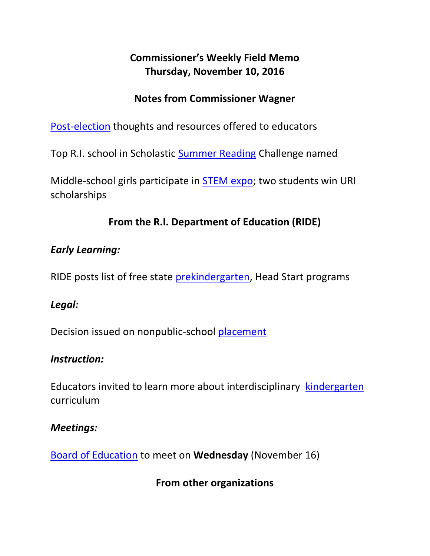# **Commissioner's Weekly Field Memo Thursday, November 10, 2016**

### **Notes from Commissioner Wagner**

[Post-election](#page-1-0) thoughts and resources offered to educators

Top R.I. school in Scholastic [Summer Reading](#page-2-0) Challenge named

Middle-school girls participate in [STEM expo;](#page-2-1) two students win URI scholarships

# **From the R.I. Department of Education (RIDE)**

### *Early Learning:*

RIDE posts list of free state [prekindergarten,](#page-3-0) Head Start programs

### *Legal:*

Decision issued on nonpublic-school [placement](#page-3-1)

#### *Instruction:*

Educators invited to learn more about interdisciplinary [kindergarten](#page-4-0) curriculum

#### *Meetings:*

[Board of Education](#page-5-0) to meet on **Wednesday** (November 16)

**From other organizations**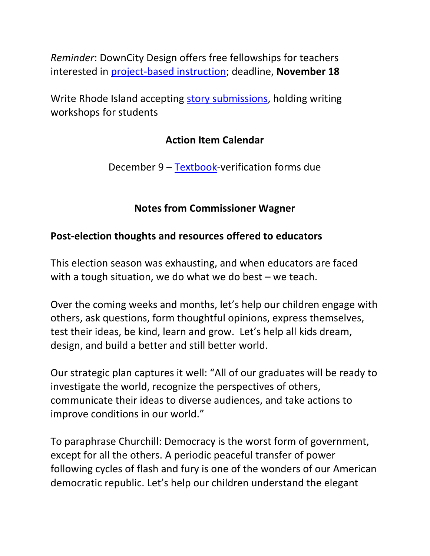*Reminder*: DownCity Design offers free fellowships for teachers interested in [project-based instruction;](#page-6-0) deadline, **November 18**

Write Rhode Island accepting [story submissions,](#page-6-1) holding writing workshops for students

#### **Action Item Calendar**

December 9 – [Textbook-](http://www.ride.ri.gov/Portals/0/Uploads/Documents/FieldMemos/100716-FM.pdf)verification forms due

### **Notes from Commissioner Wagner**

#### <span id="page-1-0"></span>**Post-election thoughts and resources offered to educators**

This election season was exhausting, and when educators are faced with a tough situation, we do what we do best – we teach.

Over the coming weeks and months, let's help our children engage with others, ask questions, form thoughtful opinions, express themselves, test their ideas, be kind, learn and grow. Let's help all kids dream, design, and build a better and still better world.

Our strategic plan captures it well: "All of our graduates will be ready to investigate the world, recognize the perspectives of others, communicate their ideas to diverse audiences, and take actions to improve conditions in our world."

To paraphrase Churchill: Democracy is the worst form of government, except for all the others. A periodic peaceful transfer of power following cycles of flash and fury is one of the wonders of our American democratic republic. Let's help our children understand the elegant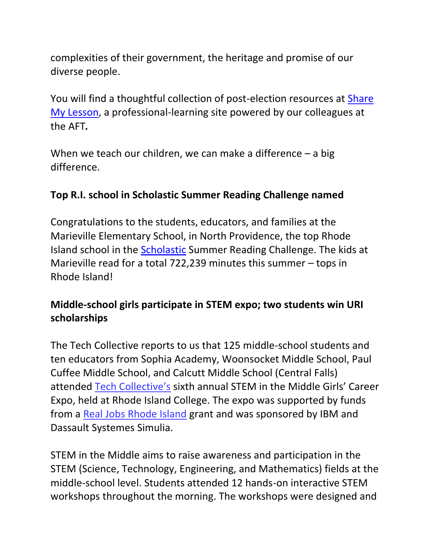complexities of their government, the heritage and promise of our diverse people.

You will find a thoughtful collection of post-election resources at Share [My Lesson,](https://sharemylesson.com/collections/post-election-collection) a professional-learning site powered by our colleagues at the AFT*.*

When we teach our children, we can make a difference – a big difference.

### <span id="page-2-0"></span>**Top R.I. school in Scholastic Summer Reading Challenge named**

Congratulations to the students, educators, and families at the Marieville Elementary School, in North Providence, the top Rhode Island school in the [Scholastic](http://www.scholastic.com/ups/campaigns/src-2016#top/3) Summer Reading Challenge. The kids at Marieville read for a total 722,239 minutes this summer – tops in Rhode Island!

# <span id="page-2-1"></span>**Middle-school girls participate in STEM expo; two students win URI scholarships**

The Tech Collective reports to us that 125 middle-school students and ten educators from Sophia Academy, Woonsocket Middle School, Paul Cuffee Middle School, and Calcutt Middle School (Central Falls) attended [Tech Collective's](http://www.tech-collective.org/) sixth annual STEM in the Middle Girls' Career Expo, held at Rhode Island College. The expo was supported by funds from a [Real Jobs Rhode Island](http://www.dlt.ri.gov/realjobs/) grant and was sponsored by IBM and Dassault Systemes Simulia.

STEM in the Middle aims to raise awareness and participation in the STEM (Science, Technology, Engineering, and Mathematics) fields at the middle-school level. Students attended 12 hands-on interactive STEM workshops throughout the morning. The workshops were designed and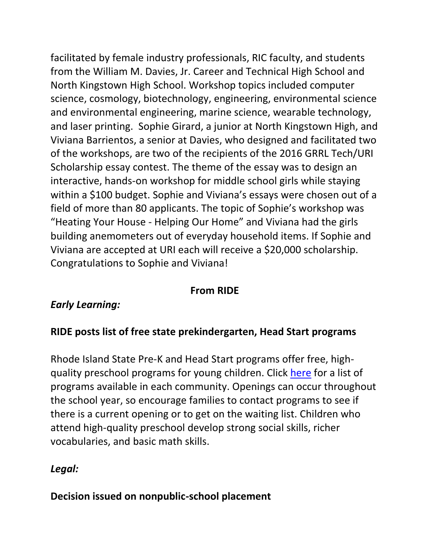facilitated by female industry professionals, RIC faculty, and students from the William M. Davies, Jr. Career and Technical High School and North Kingstown High School. Workshop topics included computer science, cosmology, biotechnology, engineering, environmental science and environmental engineering, marine science, wearable technology, and laser printing. Sophie Girard, a junior at North Kingstown High, and Viviana Barrientos, a senior at Davies, who designed and facilitated two of the workshops, are two of the recipients of the 2016 GRRL Tech/URI Scholarship essay contest. The theme of the essay was to design an interactive, hands-on workshop for middle school girls while staying within a \$100 budget. Sophie and Viviana's essays were chosen out of a field of more than 80 applicants. The topic of Sophie's workshop was "Heating Your House - Helping Our Home" and Viviana had the girls building anemometers out of everyday household items. If Sophie and Viviana are accepted at URI each will receive a \$20,000 scholarship. Congratulations to Sophie and Viviana!

### **From RIDE**

### *Early Learning:*

### <span id="page-3-0"></span>**RIDE posts list of free state prekindergarten, Head Start programs**

Rhode Island State Pre-K and Head Start programs offer free, highquality preschool programs for young children. Click [here](http://www.ride.ri.gov/Portals/0/Uploads/Documents/Instruction-and-Assessment-World-Class-Standards/Early-Childhood/2016-2017%20RI%20Pre-K%20Head%20Start%20Coordination%20Outreach.pdf) for a list of programs available in each community. Openings can occur throughout the school year, so encourage families to contact programs to see if there is a current opening or to get on the waiting list. Children who attend high-quality preschool develop strong social skills, richer vocabularies, and basic math skills.

#### *Legal:*

#### <span id="page-3-1"></span>**Decision issued on nonpublic-school placement**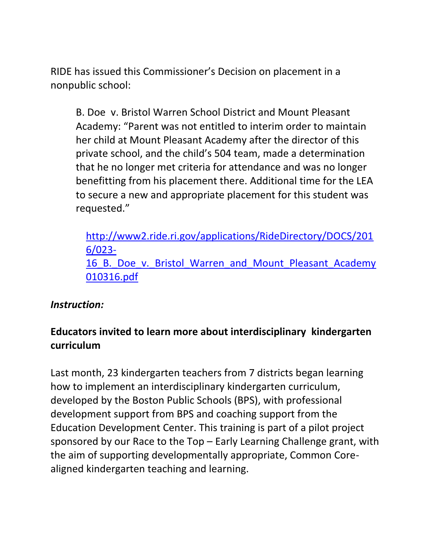RIDE has issued this Commissioner's Decision on placement in a nonpublic school:

B. Doe v. Bristol Warren School District and Mount Pleasant Academy: "Parent was not entitled to interim order to maintain her child at Mount Pleasant Academy after the director of this private school, and the child's 504 team, made a determination that he no longer met criteria for attendance and was no longer benefitting from his placement there. Additional time for the LEA to secure a new and appropriate placement for this student was requested."

[http://www2.ride.ri.gov/applications/RideDirectory/DOCS/201](http://www2.ride.ri.gov/applications/RideDirectory/DOCS/2016/023-16_B._Doe_v._Bristol_Warren_and_Mount_Pleasant_Academy010316.pdf) [6/023-](http://www2.ride.ri.gov/applications/RideDirectory/DOCS/2016/023-16_B._Doe_v._Bristol_Warren_and_Mount_Pleasant_Academy010316.pdf) 16 B. Doe v. Bristol Warren and Mount Pleasant Academy [010316.pdf](http://www2.ride.ri.gov/applications/RideDirectory/DOCS/2016/023-16_B._Doe_v._Bristol_Warren_and_Mount_Pleasant_Academy010316.pdf)

#### *Instruction:*

# <span id="page-4-0"></span>**Educators invited to learn more about interdisciplinary kindergarten curriculum**

Last month, 23 kindergarten teachers from 7 districts began learning how to implement an interdisciplinary kindergarten curriculum, developed by the Boston Public Schools (BPS), with professional development support from BPS and coaching support from the Education Development Center. This training is part of a pilot project sponsored by our Race to the Top – Early Learning Challenge grant, with the aim of supporting developmentally appropriate, Common Corealigned kindergarten teaching and learning.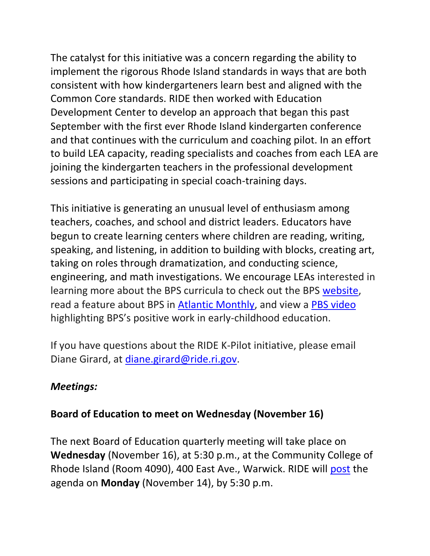The catalyst for this initiative was a concern regarding the ability to implement the rigorous Rhode Island standards in ways that are both consistent with how kindergarteners learn best and aligned with the Common Core standards. RIDE then worked with Education Development Center to develop an approach that began this past September with the first ever Rhode Island kindergarten conference and that continues with the curriculum and coaching pilot. In an effort to build LEA capacity, reading specialists and coaches from each LEA are joining the kindergarten teachers in the professional development sessions and participating in special coach-training days.

This initiative is generating an unusual level of enthusiasm among teachers, coaches, and school and district leaders. Educators have begun to create learning centers where children are reading, writing, speaking, and listening, in addition to building with blocks, creating art, taking on roles through dramatization, and conducting science, engineering, and math investigations. We encourage LEAs interested in learning more about the BPS curricula to check out the BPS [website,](http://bpsearlychildhood.weebly.com/focus-on-k2-kindergarten.html) read a feature about BPS in [Atlantic Monthly,](http://www.theatlantic.com/education/archive/2016/08/what-bostons-preschools-get-right/493952/?utm_source=atltw) and view a [PBS video](http://bpsearlychildhood.weebly.com/focus-on-k2-kindergarten.html) highlighting BPS's positive work in early-childhood education.

If you have questions about the RIDE K-Pilot initiative, please email Diane Girard, at [diane.girard@ride.ri.gov.](mailto:diane.girard@ride.ri.gov)

#### *Meetings:*

#### <span id="page-5-0"></span>**Board of Education to meet on Wednesday (November 16)**

The next Board of Education quarterly meeting will take place on **Wednesday** (November 16), at 5:30 p.m., at the Community College of Rhode Island (Room 4090), 400 East Ave., Warwick. RIDE will [post](http://www.ride.ri.gov/BoardofEducation/MeetingSchedule,AgendasandMinutes.aspx) the agenda on **Monday** (November 14), by 5:30 p.m.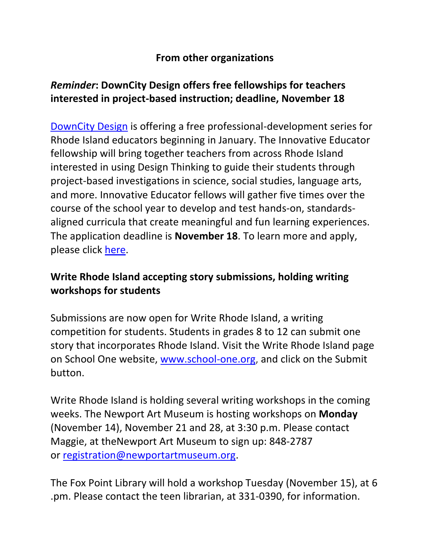#### **From other organizations**

### <span id="page-6-1"></span><span id="page-6-0"></span>*Reminder***: DownCity Design offers free fellowships for teachers interested in project-based instruction; deadline, November 18**

[DownCity Design](http://www.downcitydesign.org/) is offering a free professional-development series for Rhode Island educators beginning in January. The Innovative Educator fellowship will bring together teachers from across Rhode Island interested in using Design Thinking to guide their students through project-based investigations in science, social studies, language arts, and more. Innovative Educator fellows will gather five times over the course of the school year to develop and test hands-on, standardsaligned curricula that create meaningful and fun learning experiences. The application deadline is **November 18**. To learn more and apply, please click [here.](http://www.downcitydesign.org/innovative-educator)

### **Write Rhode Island accepting story submissions, holding writing workshops for students**

Submissions are now open for Write Rhode Island, a writing competition for students. Students in grades 8 to 12 can submit one story that incorporates Rhode Island. Visit the Write Rhode Island page on School One website, [www.school-one.org,](http://www.school-one.org/) and click on the Submit button.

Write Rhode Island is holding several writing workshops in the coming weeks. The Newport Art Museum is hosting workshops on **Monday**  (November 14), November 21 and 28, at 3:30 p.m. Please contact Maggie, at theNewport Art Museum to sign up: 848-2787 or [registration@newportartmuseum.org.](mailto:registration@newportartmuseum.org)

The Fox Point Library will hold a workshop Tuesday (November 15), at 6 .pm. Please contact the teen librarian, at 331-0390, for information.